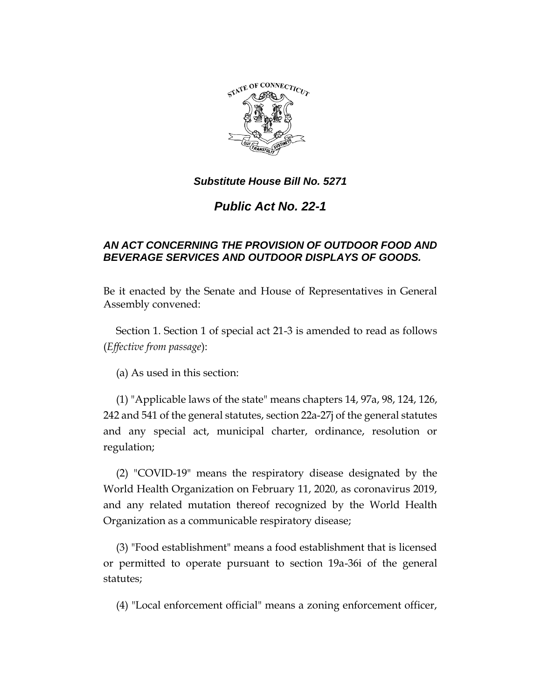

# *Public Act No. 22-1*

## *AN ACT CONCERNING THE PROVISION OF OUTDOOR FOOD AND BEVERAGE SERVICES AND OUTDOOR DISPLAYS OF GOODS.*

Be it enacted by the Senate and House of Representatives in General Assembly convened:

Section 1. Section 1 of special act 21-3 is amended to read as follows (*Effective from passage*):

(a) As used in this section:

(1) "Applicable laws of the state" means chapters 14, 97a, 98, 124, 126, 242 and 541 of the general statutes, section 22a-27j of the general statutes and any special act, municipal charter, ordinance, resolution or regulation;

(2) "COVID-19" means the respiratory disease designated by the World Health Organization on February 11, 2020, as coronavirus 2019, and any related mutation thereof recognized by the World Health Organization as a communicable respiratory disease;

(3) "Food establishment" means a food establishment that is licensed or permitted to operate pursuant to section 19a-36i of the general statutes;

(4) "Local enforcement official" means a zoning enforcement officer,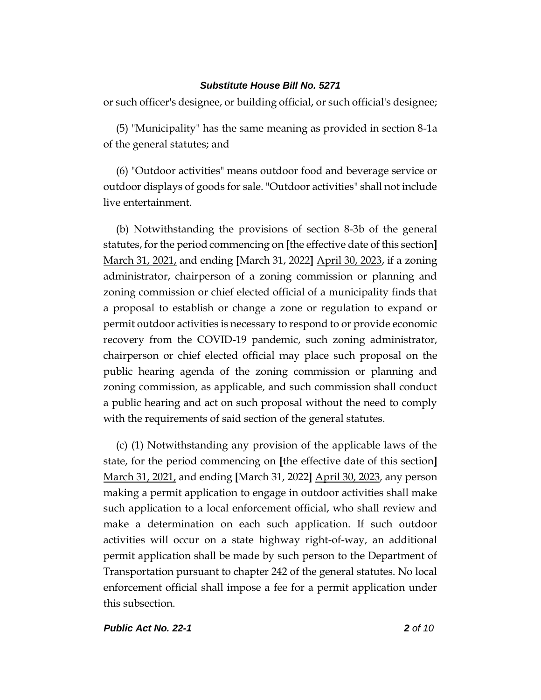or such officer's designee, or building official, or such official's designee;

(5) "Municipality" has the same meaning as provided in section 8-1a of the general statutes; and

(6) "Outdoor activities" means outdoor food and beverage service or outdoor displays of goods for sale. "Outdoor activities" shall not include live entertainment.

(b) Notwithstanding the provisions of section 8-3b of the general statutes, for the period commencing on **[**the effective date of this section**]** March 31, 2021, and ending **[**March 31, 2022**]** April 30, 2023, if a zoning administrator, chairperson of a zoning commission or planning and zoning commission or chief elected official of a municipality finds that a proposal to establish or change a zone or regulation to expand or permit outdoor activities is necessary to respond to or provide economic recovery from the COVID-19 pandemic, such zoning administrator, chairperson or chief elected official may place such proposal on the public hearing agenda of the zoning commission or planning and zoning commission, as applicable, and such commission shall conduct a public hearing and act on such proposal without the need to comply with the requirements of said section of the general statutes.

(c) (1) Notwithstanding any provision of the applicable laws of the state, for the period commencing on **[**the effective date of this section**]** March 31, 2021, and ending **[**March 31, 2022**]** April 30, 2023, any person making a permit application to engage in outdoor activities shall make such application to a local enforcement official, who shall review and make a determination on each such application. If such outdoor activities will occur on a state highway right-of-way, an additional permit application shall be made by such person to the Department of Transportation pursuant to chapter 242 of the general statutes. No local enforcement official shall impose a fee for a permit application under this subsection.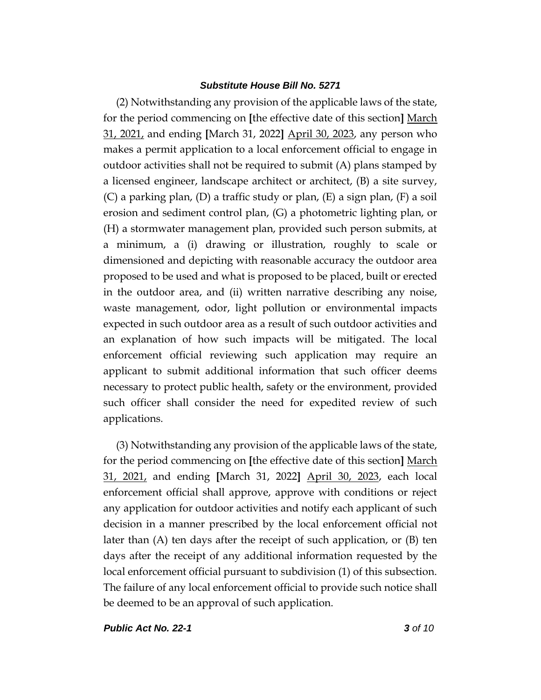(2) Notwithstanding any provision of the applicable laws of the state, for the period commencing on **[**the effective date of this section**]** March 31, 2021, and ending **[**March 31, 2022**]** April 30, 2023, any person who makes a permit application to a local enforcement official to engage in outdoor activities shall not be required to submit (A) plans stamped by a licensed engineer, landscape architect or architect, (B) a site survey, (C) a parking plan, (D) a traffic study or plan, (E) a sign plan, (F) a soil erosion and sediment control plan, (G) a photometric lighting plan, or (H) a stormwater management plan, provided such person submits, at a minimum, a (i) drawing or illustration, roughly to scale or dimensioned and depicting with reasonable accuracy the outdoor area proposed to be used and what is proposed to be placed, built or erected in the outdoor area, and (ii) written narrative describing any noise, waste management, odor, light pollution or environmental impacts expected in such outdoor area as a result of such outdoor activities and an explanation of how such impacts will be mitigated. The local enforcement official reviewing such application may require an applicant to submit additional information that such officer deems necessary to protect public health, safety or the environment, provided such officer shall consider the need for expedited review of such applications.

(3) Notwithstanding any provision of the applicable laws of the state, for the period commencing on **[**the effective date of this section**]** March 31, 2021, and ending **[**March 31, 2022**]** April 30, 2023, each local enforcement official shall approve, approve with conditions or reject any application for outdoor activities and notify each applicant of such decision in a manner prescribed by the local enforcement official not later than (A) ten days after the receipt of such application, or (B) ten days after the receipt of any additional information requested by the local enforcement official pursuant to subdivision (1) of this subsection. The failure of any local enforcement official to provide such notice shall be deemed to be an approval of such application.

*Public Act No. 22-1 3 of 10*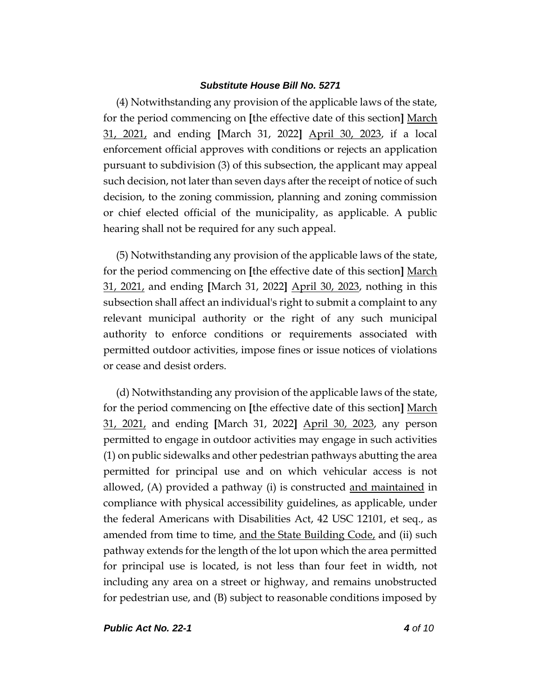(4) Notwithstanding any provision of the applicable laws of the state, for the period commencing on **[**the effective date of this section**]** March 31, 2021, and ending **[**March 31, 2022**]** April 30, 2023, if a local enforcement official approves with conditions or rejects an application pursuant to subdivision (3) of this subsection, the applicant may appeal such decision, not later than seven days after the receipt of notice of such decision, to the zoning commission, planning and zoning commission or chief elected official of the municipality, as applicable. A public hearing shall not be required for any such appeal.

(5) Notwithstanding any provision of the applicable laws of the state, for the period commencing on **[**the effective date of this section**]** March 31, 2021, and ending **[**March 31, 2022**]** April 30, 2023, nothing in this subsection shall affect an individual's right to submit a complaint to any relevant municipal authority or the right of any such municipal authority to enforce conditions or requirements associated with permitted outdoor activities, impose fines or issue notices of violations or cease and desist orders.

(d) Notwithstanding any provision of the applicable laws of the state, for the period commencing on **[**the effective date of this section**]** March 31, 2021, and ending **[**March 31, 2022**]** April 30, 2023, any person permitted to engage in outdoor activities may engage in such activities (1) on public sidewalks and other pedestrian pathways abutting the area permitted for principal use and on which vehicular access is not allowed, (A) provided a pathway (i) is constructed and maintained in compliance with physical accessibility guidelines, as applicable, under the federal Americans with Disabilities Act, 42 USC 12101, et seq., as amended from time to time, and the State Building Code, and (ii) such pathway extends for the length of the lot upon which the area permitted for principal use is located, is not less than four feet in width, not including any area on a street or highway, and remains unobstructed for pedestrian use, and (B) subject to reasonable conditions imposed by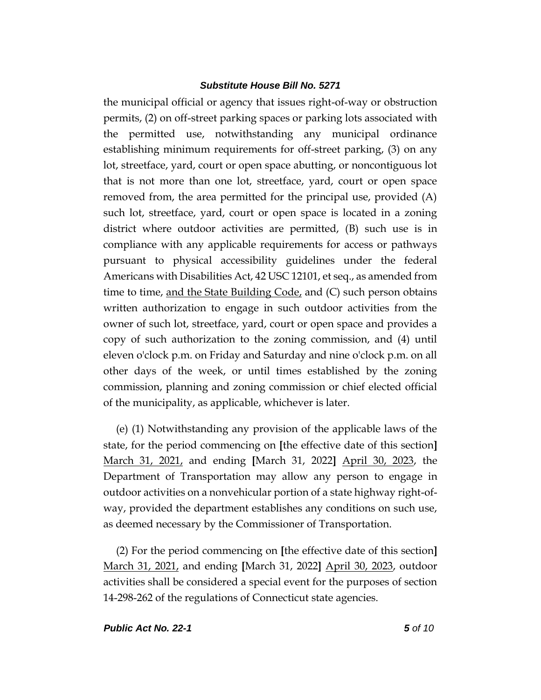the municipal official or agency that issues right-of-way or obstruction permits, (2) on off-street parking spaces or parking lots associated with the permitted use, notwithstanding any municipal ordinance establishing minimum requirements for off-street parking, (3) on any lot, streetface, yard, court or open space abutting, or noncontiguous lot that is not more than one lot, streetface, yard, court or open space removed from, the area permitted for the principal use, provided (A) such lot, streetface, yard, court or open space is located in a zoning district where outdoor activities are permitted, (B) such use is in compliance with any applicable requirements for access or pathways pursuant to physical accessibility guidelines under the federal Americans with Disabilities Act, 42 USC 12101, et seq., as amended from time to time, and the State Building  $Code<sub>c</sub>$  and  $(C)$  such person obtains written authorization to engage in such outdoor activities from the owner of such lot, streetface, yard, court or open space and provides a copy of such authorization to the zoning commission, and (4) until eleven o'clock p.m. on Friday and Saturday and nine o'clock p.m. on all other days of the week, or until times established by the zoning commission, planning and zoning commission or chief elected official of the municipality, as applicable, whichever is later.

(e) (1) Notwithstanding any provision of the applicable laws of the state, for the period commencing on **[**the effective date of this section**]** March 31, 2021, and ending **[**March 31, 2022**]** April 30, 2023, the Department of Transportation may allow any person to engage in outdoor activities on a nonvehicular portion of a state highway right-ofway, provided the department establishes any conditions on such use, as deemed necessary by the Commissioner of Transportation.

(2) For the period commencing on **[**the effective date of this section**]** March 31, 2021, and ending **[**March 31, 2022**]** April 30, 2023, outdoor activities shall be considered a special event for the purposes of section 14-298-262 of the regulations of Connecticut state agencies.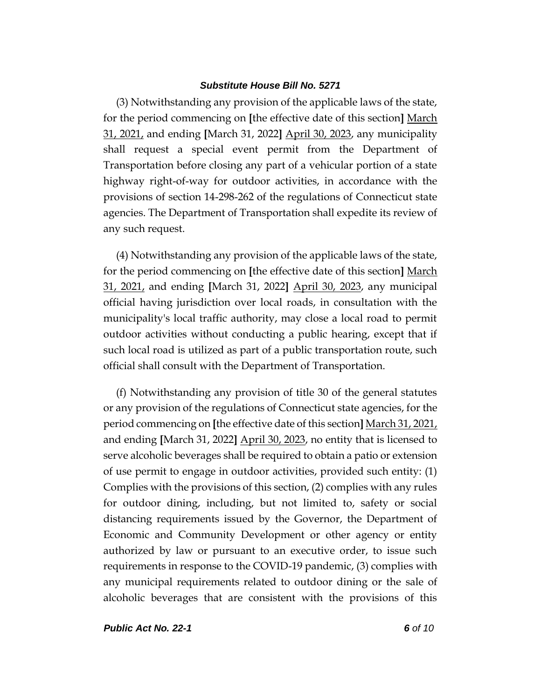(3) Notwithstanding any provision of the applicable laws of the state, for the period commencing on **[**the effective date of this section**]** March 31, 2021, and ending **[**March 31, 2022**]** April 30, 2023, any municipality shall request a special event permit from the Department of Transportation before closing any part of a vehicular portion of a state highway right-of-way for outdoor activities, in accordance with the provisions of section 14-298-262 of the regulations of Connecticut state agencies. The Department of Transportation shall expedite its review of any such request.

(4) Notwithstanding any provision of the applicable laws of the state, for the period commencing on **[**the effective date of this section**]** March 31, 2021, and ending **[**March 31, 2022**]** April 30, 2023, any municipal official having jurisdiction over local roads, in consultation with the municipality's local traffic authority, may close a local road to permit outdoor activities without conducting a public hearing, except that if such local road is utilized as part of a public transportation route, such official shall consult with the Department of Transportation.

(f) Notwithstanding any provision of title 30 of the general statutes or any provision of the regulations of Connecticut state agencies, for the period commencing on **[**the effective date of this section**]** March 31, 2021, and ending **[**March 31, 2022**]** April 30, 2023, no entity that is licensed to serve alcoholic beverages shall be required to obtain a patio or extension of use permit to engage in outdoor activities, provided such entity: (1) Complies with the provisions of this section, (2) complies with any rules for outdoor dining, including, but not limited to, safety or social distancing requirements issued by the Governor, the Department of Economic and Community Development or other agency or entity authorized by law or pursuant to an executive order, to issue such requirements in response to the COVID-19 pandemic, (3) complies with any municipal requirements related to outdoor dining or the sale of alcoholic beverages that are consistent with the provisions of this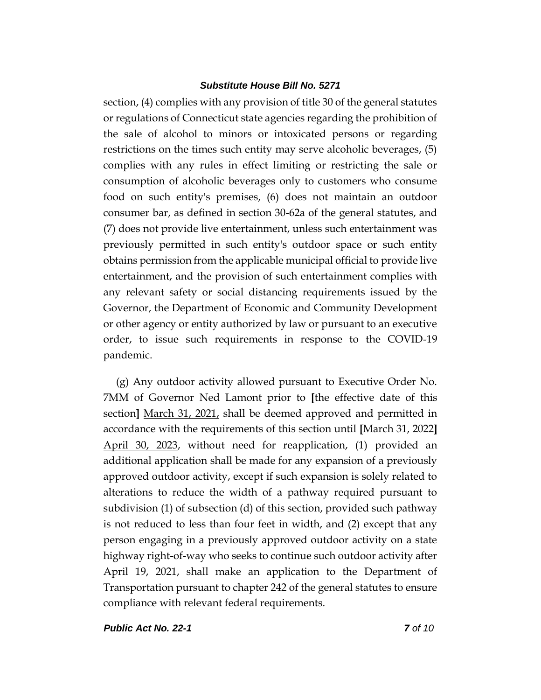section, (4) complies with any provision of title 30 of the general statutes or regulations of Connecticut state agencies regarding the prohibition of the sale of alcohol to minors or intoxicated persons or regarding restrictions on the times such entity may serve alcoholic beverages, (5) complies with any rules in effect limiting or restricting the sale or consumption of alcoholic beverages only to customers who consume food on such entity's premises, (6) does not maintain an outdoor consumer bar, as defined in section 30-62a of the general statutes, and (7) does not provide live entertainment, unless such entertainment was previously permitted in such entity's outdoor space or such entity obtains permission from the applicable municipal official to provide live entertainment, and the provision of such entertainment complies with any relevant safety or social distancing requirements issued by the Governor, the Department of Economic and Community Development or other agency or entity authorized by law or pursuant to an executive order, to issue such requirements in response to the COVID-19 pandemic.

(g) Any outdoor activity allowed pursuant to Executive Order No. 7MM of Governor Ned Lamont prior to **[**the effective date of this section**]** March 31, 2021, shall be deemed approved and permitted in accordance with the requirements of this section until **[**March 31, 2022**]** April 30, 2023, without need for reapplication, (1) provided an additional application shall be made for any expansion of a previously approved outdoor activity, except if such expansion is solely related to alterations to reduce the width of a pathway required pursuant to subdivision (1) of subsection (d) of this section, provided such pathway is not reduced to less than four feet in width, and (2) except that any person engaging in a previously approved outdoor activity on a state highway right-of-way who seeks to continue such outdoor activity after April 19, 2021, shall make an application to the Department of Transportation pursuant to chapter 242 of the general statutes to ensure compliance with relevant federal requirements.

*Public Act No. 22-1 7 of 10*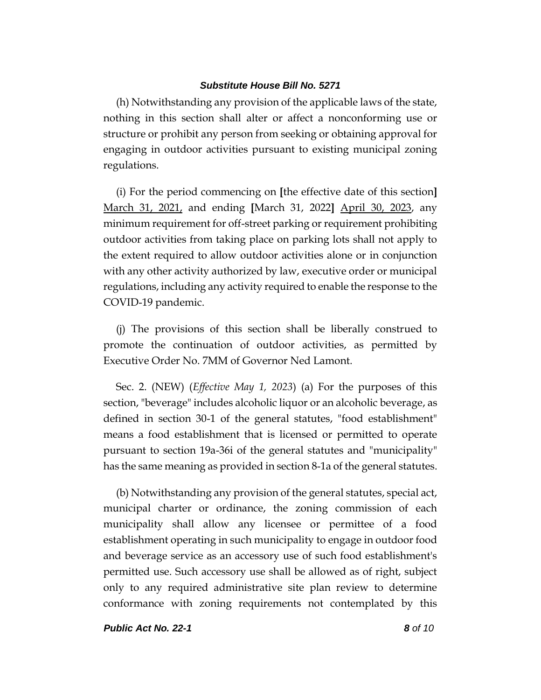(h) Notwithstanding any provision of the applicable laws of the state, nothing in this section shall alter or affect a nonconforming use or structure or prohibit any person from seeking or obtaining approval for engaging in outdoor activities pursuant to existing municipal zoning regulations.

(i) For the period commencing on **[**the effective date of this section**]** March 31, 2021, and ending **[**March 31, 2022**]** April 30, 2023, any minimum requirement for off-street parking or requirement prohibiting outdoor activities from taking place on parking lots shall not apply to the extent required to allow outdoor activities alone or in conjunction with any other activity authorized by law, executive order or municipal regulations, including any activity required to enable the response to the COVID-19 pandemic.

(j) The provisions of this section shall be liberally construed to promote the continuation of outdoor activities, as permitted by Executive Order No. 7MM of Governor Ned Lamont.

Sec. 2. (NEW) (*Effective May 1, 2023*) (a) For the purposes of this section, "beverage" includes alcoholic liquor or an alcoholic beverage, as defined in section 30-1 of the general statutes, "food establishment" means a food establishment that is licensed or permitted to operate pursuant to section 19a-36i of the general statutes and "municipality" has the same meaning as provided in section 8-1a of the general statutes.

(b) Notwithstanding any provision of the general statutes, special act, municipal charter or ordinance, the zoning commission of each municipality shall allow any licensee or permittee of a food establishment operating in such municipality to engage in outdoor food and beverage service as an accessory use of such food establishment's permitted use. Such accessory use shall be allowed as of right, subject only to any required administrative site plan review to determine conformance with zoning requirements not contemplated by this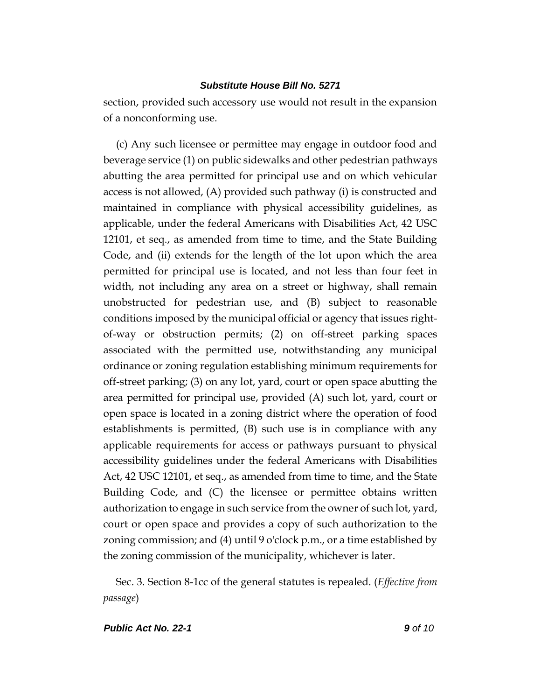section, provided such accessory use would not result in the expansion of a nonconforming use.

(c) Any such licensee or permittee may engage in outdoor food and beverage service (1) on public sidewalks and other pedestrian pathways abutting the area permitted for principal use and on which vehicular access is not allowed, (A) provided such pathway (i) is constructed and maintained in compliance with physical accessibility guidelines, as applicable, under the federal Americans with Disabilities Act, 42 USC 12101, et seq., as amended from time to time, and the State Building Code, and (ii) extends for the length of the lot upon which the area permitted for principal use is located, and not less than four feet in width, not including any area on a street or highway, shall remain unobstructed for pedestrian use, and (B) subject to reasonable conditions imposed by the municipal official or agency that issues rightof-way or obstruction permits; (2) on off-street parking spaces associated with the permitted use, notwithstanding any municipal ordinance or zoning regulation establishing minimum requirements for off-street parking; (3) on any lot, yard, court or open space abutting the area permitted for principal use, provided (A) such lot, yard, court or open space is located in a zoning district where the operation of food establishments is permitted, (B) such use is in compliance with any applicable requirements for access or pathways pursuant to physical accessibility guidelines under the federal Americans with Disabilities Act, 42 USC 12101, et seq., as amended from time to time, and the State Building Code, and (C) the licensee or permittee obtains written authorization to engage in such service from the owner of such lot, yard, court or open space and provides a copy of such authorization to the zoning commission; and (4) until 9 o'clock p.m., or a time established by the zoning commission of the municipality, whichever is later.

Sec. 3. Section 8-1cc of the general statutes is repealed. (*Effective from passage*)